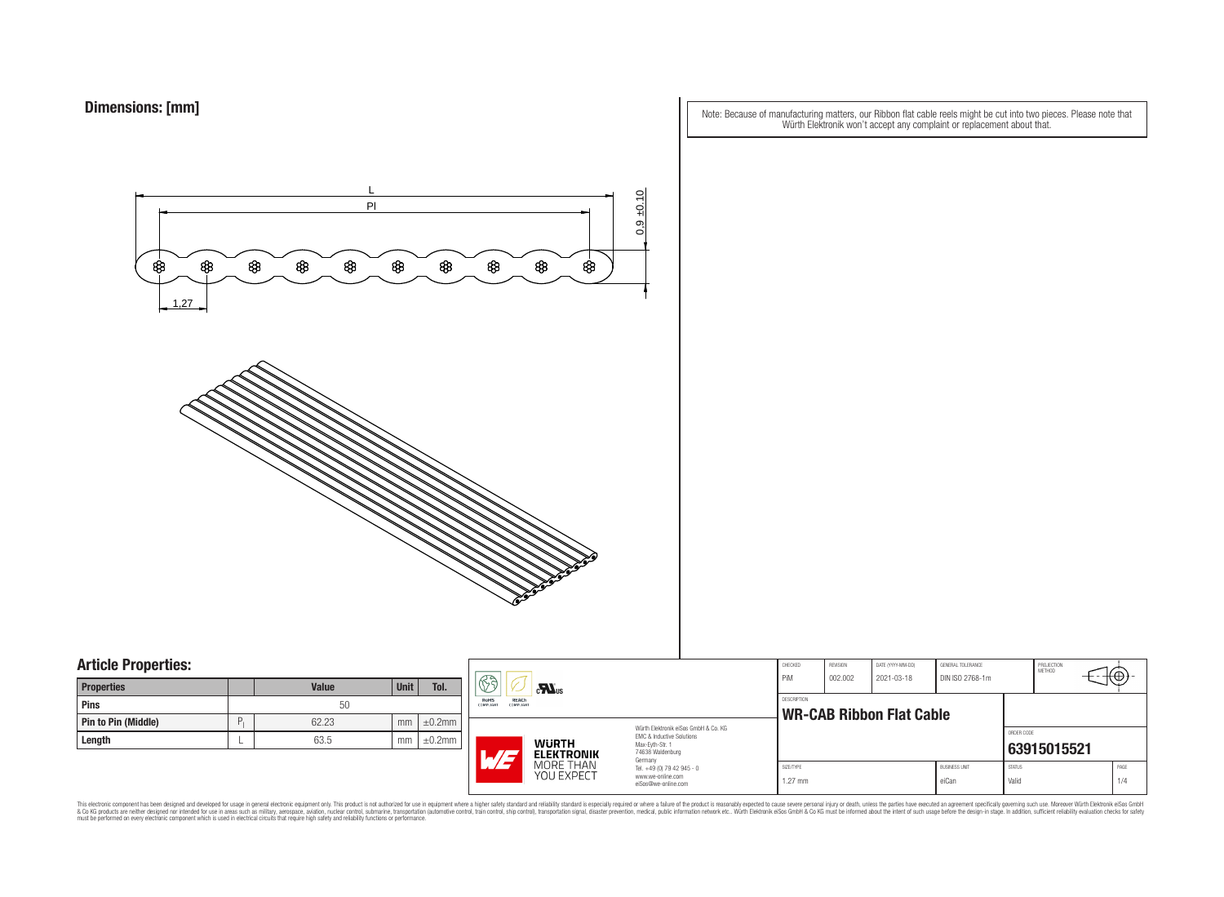| Note: Because of manufacturing matters, our Ribbon flat cable reels might be cut into two pieces. Please note that |  |
|--------------------------------------------------------------------------------------------------------------------|--|
| Würth Elektronik won't accept any complaint or replacement about that.                                             |  |



## **Article Properties:**

| <b>Properties</b>          |   | <b>Value</b> | <b>Unit</b> | Tol.         |
|----------------------------|---|--------------|-------------|--------------|
| <b>Pins</b>                |   | 50           |             |              |
| <b>Pin to Pin (Middle)</b> | D | 62.23        | mm          | $\pm 0.2$ mm |
| Length                     |   | 63.5         | mm          | $\pm 0.2$ mm |

|    | 63                                                                                                                                                   | CHECKED<br>PiM<br>$\sum_{\mathbf{u}}$                                  |                        |                                                       | REVISION<br>002.002 | DATE (YYYY-MM-DD)<br>2021-03-18 | GENERAL TOLERANCE<br>DIN ISO 2768-1m |             | PROJECTION<br><b>METHOD</b> | ₩, |
|----|------------------------------------------------------------------------------------------------------------------------------------------------------|------------------------------------------------------------------------|------------------------|-------------------------------------------------------|---------------------|---------------------------------|--------------------------------------|-------------|-----------------------------|----|
| nm | REACh<br>RoHS<br><b>COMPLIANT</b><br>COMPLIANT                                                                                                       |                                                                        |                        | <b>DESCRIPTION</b><br><b>WR-CAB Ribbon Flat Cable</b> |                     |                                 |                                      |             |                             |    |
| nm | Würth Elektronik eiSos GmbH & Co. KG<br>FMC & Inductive Solutions<br><b>WURTH</b><br>Max-Evth-Str. 1<br>74638 Waldenburg<br>L/I<br><b>ELEKTRONIK</b> |                                                                        |                        |                                                       |                     |                                 | ORDER CODE                           | 63915015521 |                             |    |
|    | Germany<br>MORE THAN<br>YOU EXPECT                                                                                                                   | Tel. +49 (0) 79 42 945 - 0<br>www.we-online.com<br>eiSos@we-online.com | SIZE/TYPE<br>$1.27$ mm |                                                       |                     | <b>BUSINESS UNIT</b><br>eiCan   | <b>STATUS</b><br>Valid               |             | PAGE<br>1/4                 |    |

This electronic component has been designed and developed for usage in general electronic equipment only. This product is not authorized for subserved requipment where a higher selection equipment where a higher selection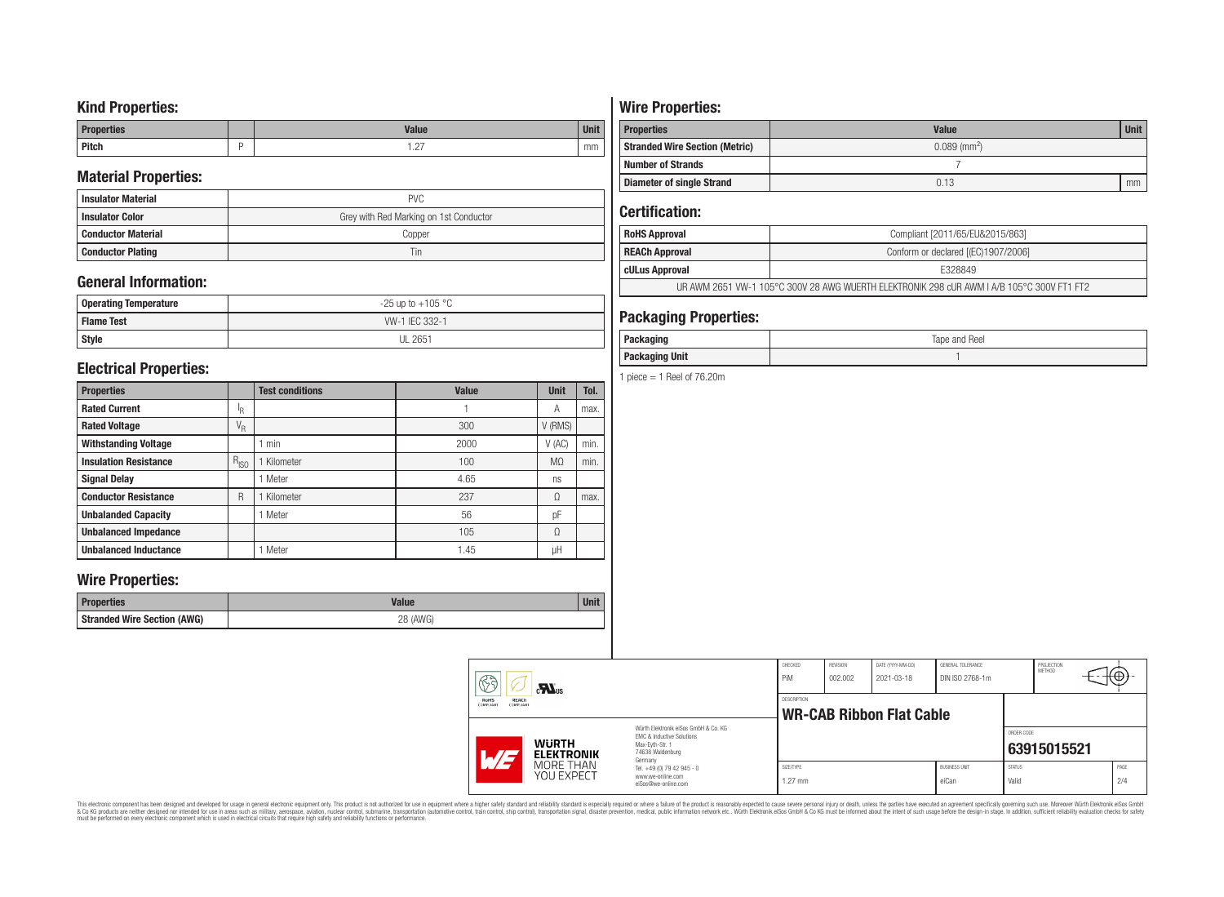### **Kind Properties:**

| <b>Properties</b> | <b>Value</b>                     | $H = 14$<br>vm |
|-------------------|----------------------------------|----------------|
| <b>Pitch</b>      | $\sim$<br>$\cdot$ $\sim$ $\cdot$ | mm             |

### **Material Properties:**

| <b>Insulator Material</b> | <b>PVC</b>                             |
|---------------------------|----------------------------------------|
| <b>Insulator Color</b>    | Grey with Red Marking on 1st Conductor |
| <b>Conductor Material</b> | Copper                                 |
| <b>Conductor Plating</b>  | Tin                                    |

## **General Information:**

| Operating Temperature | $-25$ up to $+105$ °C |
|-----------------------|-----------------------|
| <b>Flame Test</b>     | W-1 IEC 332-1         |
| <b>Style</b>          | <b>UL 2651</b>        |

### **Electrical Properties:**

| <b>Properties</b>            |                           | <b>Test conditions</b> | <b>Value</b> | <b>Unit</b>    | Tol. |
|------------------------------|---------------------------|------------------------|--------------|----------------|------|
| <b>Rated Current</b>         | ΙŖ.                       |                        |              | Α              | max. |
| <b>Rated Voltage</b>         | $\mathrm{V}_{\mathrm{R}}$ |                        | 300          | V (RMS)        |      |
| <b>Withstanding Voltage</b>  |                           | min                    | 2000         | V(AC)          | min. |
| <b>Insulation Resistance</b> | $R_{ISO}$                 | Kilometer              | 100          | M <sub>0</sub> | min. |
| <b>Signal Delay</b>          |                           | Meter                  | 4.65         | ns             |      |
| <b>Conductor Resistance</b>  | R                         | Kilometer              | 237          | Ω              | max. |
| <b>Unbalanded Capacity</b>   |                           | Meter                  | 56           | pF             |      |
| <b>Unbalanced Impedance</b>  |                           |                        | 105          | Ω              |      |
| <b>Unbalanced Inductance</b> |                           | Meter                  | 1.45         | μH             |      |

### **Wire Properties:**

| <b>Properties</b>                  | Value    | <b>Unit</b> |
|------------------------------------|----------|-------------|
| <b>Stranded Wire Section (AWG)</b> | 28 (AWG) |             |

# **Wire Properties:**

| <b>Properties</b>                     | <b>Value</b>               | <b>Unit</b> |
|---------------------------------------|----------------------------|-------------|
| <b>Stranded Wire Section (Metric)</b> | $0.089$ (mm <sup>2</sup> ) |             |
| <b>Number of Strands</b>              |                            |             |
| <b>Diameter of single Strand</b>      | 0.13                       | mm          |

## **Certification:**

| <b>RoHS Approval</b> | Compliant [2011/65/EU&2015/863]                                                          |
|----------------------|------------------------------------------------------------------------------------------|
| REACh Approval       | Conform or declared [(EC)1907/2006]                                                      |
| cULus Approval       | F328849                                                                                  |
|                      | UR AWM 2651 VW-1 105°C 300V 28 AWG WUERTH ELEKTRONIK 298 cUR AWM LA/B 105°C 300V FT1 FT2 |

### **Packaging Properties:**

| . n.<br>acrayın                 | Tape and Reel |
|---------------------------------|---------------|
| kaging Unit<br><b>Packaging</b> |               |

1 piece  $=$  1 Reel of 76.20m

| $\mathbb{G}$                                          | $\mathbf{M}$ us                   |                                                                                                                     | CHECKED<br>PiM         | REVISION<br>002.002 | DATE (YYYY-MM-DD)<br>2021-03-18 | GENERAL TOLERANCE<br>DIN ISO 2768-1m |                        | PROJECTION<br><b>METHOD</b> | √⊕.         |
|-------------------------------------------------------|-----------------------------------|---------------------------------------------------------------------------------------------------------------------|------------------------|---------------------|---------------------------------|--------------------------------------|------------------------|-----------------------------|-------------|
| RoHS<br>REACh<br><b>COMPLIANT</b><br><b>COMPLIANT</b> |                                   |                                                                                                                     | DESCRIPTION            |                     | <b>WR-CAB Ribbon Flat Cable</b> |                                      |                        |                             |             |
| AT                                                    | <b>WURTH</b><br><b>ELEKTRONIK</b> | Würth Elektronik eiSos GmbH & Co. KG<br>FMC & Inductive Solutions<br>Max-Evth-Str. 1<br>74638 Waldenburg<br>Germany |                        |                     |                                 |                                      | ORDER CODE             | 63915015521                 |             |
|                                                       | MORE THAN<br>YOU EXPECT           | Tel. +49 (0) 79 42 945 - 0<br>www.we-online.com<br>eiSos@we-online.com                                              | SIZE/TYPE<br>$1.27$ mm |                     |                                 | <b>BUSINESS UNIT</b><br>eiCan        | <b>STATUS</b><br>Valid |                             | PAGE<br>2/4 |

This electronic component has been designed and developed for usage in general electronic equipment only. This product is not authorized for subserved requipment where a higher selection equipment where a higher selection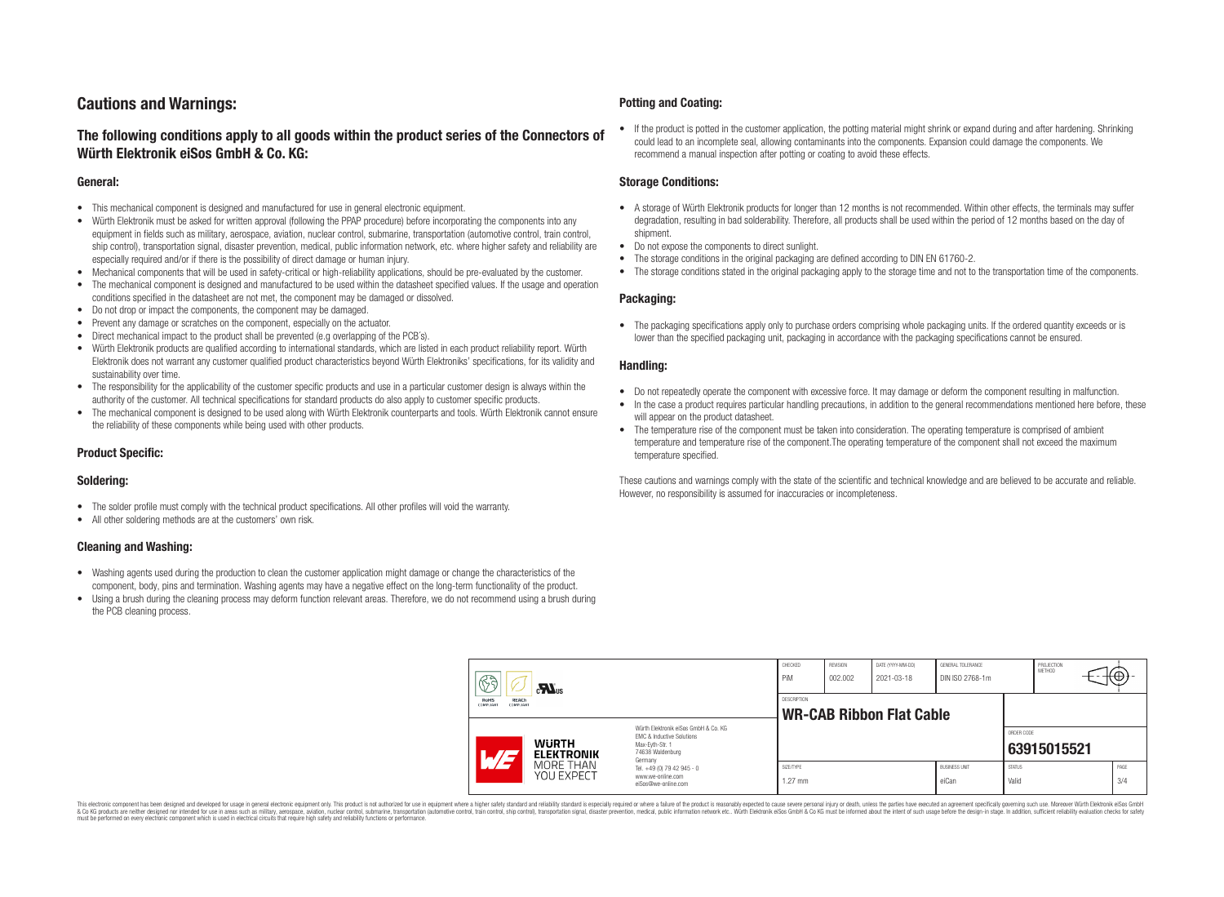## **Cautions and Warnings:**

### **The following conditions apply to all goods within the product series of the Connectors of Würth Elektronik eiSos GmbH & Co. KG:**

#### **General:**

- This mechanical component is designed and manufactured for use in general electronic equipment.
- Würth Elektronik must be asked for written approval (following the PPAP procedure) before incorporating the components into any equipment in fields such as military, aerospace, aviation, nuclear control, submarine, transportation (automotive control, train control, ship control), transportation signal, disaster prevention, medical, public information network, etc. where higher safety and reliability are especially required and/or if there is the possibility of direct damage or human injury.
- Mechanical components that will be used in safety-critical or high-reliability applications, should be pre-evaluated by the customer.
- The mechanical component is designed and manufactured to be used within the datasheet specified values. If the usage and operation conditions specified in the datasheet are not met, the component may be damaged or dissolved.
- Do not drop or impact the components, the component may be damaged.
- Prevent any damage or scratches on the component, especially on the actuator.
- Direct mechanical impact to the product shall be prevented (e.g overlapping of the PCB's).
- Würth Elektronik products are qualified according to international standards, which are listed in each product reliability report. Würth Elektronik does not warrant any customer qualified product characteristics beyond Würth Elektroniks' specifications, for its validity and sustainability over time.
- The responsibility for the applicability of the customer specific products and use in a particular customer design is always within the authority of the customer. All technical specifications for standard products do also apply to customer specific products.
- The mechanical component is designed to be used along with Würth Elektronik counterparts and tools. Würth Elektronik cannot ensure the reliability of these components while being used with other products.

#### **Product Specific:**

#### **Soldering:**

- The solder profile must comply with the technical product specifications. All other profiles will void the warranty.
- All other soldering methods are at the customers' own risk.

#### **Cleaning and Washing:**

- Washing agents used during the production to clean the customer application might damage or change the characteristics of the component, body, pins and termination. Washing agents may have a negative effect on the long-term functionality of the product.
- Using a brush during the cleaning process may deform function relevant areas. Therefore, we do not recommend using a brush during the PCB cleaning process.

#### **Potting and Coating:**

• If the product is potted in the customer application, the potting material might shrink or expand during and after hardening. Shrinking could lead to an incomplete seal, allowing contaminants into the components. Expansion could damage the components. We recommend a manual inspection after potting or coating to avoid these effects.

#### **Storage Conditions:**

- A storage of Würth Elektronik products for longer than 12 months is not recommended. Within other effects, the terminals may suffer degradation, resulting in bad solderability. Therefore, all products shall be used within the period of 12 months based on the day of shipment.
- Do not expose the components to direct sunlight.
- The storage conditions in the original packaging are defined according to DIN EN 61760-2.
- The storage conditions stated in the original packaging apply to the storage time and not to the transportation time of the components.

#### **Packaging:**

• The packaging specifications apply only to purchase orders comprising whole packaging units. If the ordered quantity exceeds or is lower than the specified packaging unit, packaging in accordance with the packaging specifications cannot be ensured.

#### **Handling:**

- Do not repeatedly operate the component with excessive force. It may damage or deform the component resulting in malfunction.
- In the case a product requires particular handling precautions, in addition to the general recommendations mentioned here before, these will appear on the product datasheet
- The temperature rise of the component must be taken into consideration. The operating temperature is comprised of ambient temperature and temperature rise of the component.The operating temperature of the component shall not exceed the maximum temperature specified.

These cautions and warnings comply with the state of the scientific and technical knowledge and are believed to be accurate and reliable. However, no responsibility is assumed for inaccuracies or incompleteness.

| 63<br>$\mathbf{M}_{\text{us}}$                               |                                                                     |                                                                                                                                                                                               | CHECKED<br>PiM         | <b>REVISION</b><br>002.002 | DATE (YYYY-MM-DD)<br>2021-03-18 | GENERAL TOLERANCE<br>DIN ISO 2768-1m |                        | PROJECTION<br><b>METHOD</b> | €⊕∶         |
|--------------------------------------------------------------|---------------------------------------------------------------------|-----------------------------------------------------------------------------------------------------------------------------------------------------------------------------------------------|------------------------|----------------------------|---------------------------------|--------------------------------------|------------------------|-----------------------------|-------------|
| <b>RoHS</b><br><b>REACh</b><br><b>COMPLIANT</b><br>COMPLIANT |                                                                     | <b>DESCRIPTION</b><br><b>WR-CAB Ribbon Flat Cable</b>                                                                                                                                         |                        |                            |                                 |                                      |                        |                             |             |
| ATZ                                                          | <b>WURTH</b><br><b>ELEKTRONIK</b><br>MORE THAN<br><b>YOU EXPECT</b> | Würth Flektronik eiSos GmbH & Co. KG<br>EMC & Inductive Solutions<br>Max-Evth-Str. 1<br>74638 Waldenburg<br>Germany<br>Tel. +49 (0) 79 42 945 - 0<br>www.we-online.com<br>eiSos@we-online.com |                        |                            |                                 |                                      | ORDER CODE             | 63915015521                 |             |
|                                                              |                                                                     |                                                                                                                                                                                               | SIZE/TYPE<br>$1.27$ mm |                            |                                 | <b>BUSINESS UNIT</b><br>eiCan        | <b>STATUS</b><br>Valid |                             | PAGE<br>3/4 |

This electronic component has been designed and developed for usage in general electronic equipment only. This product is not authorized for use in equipment where a higher safety standard and reliability standard si espec & Ook product a label and the membed of the seasuch as marked and as which such a membed and the such assume that income in the seasuch and the simulation and the such assume that include to the such a membed and the such